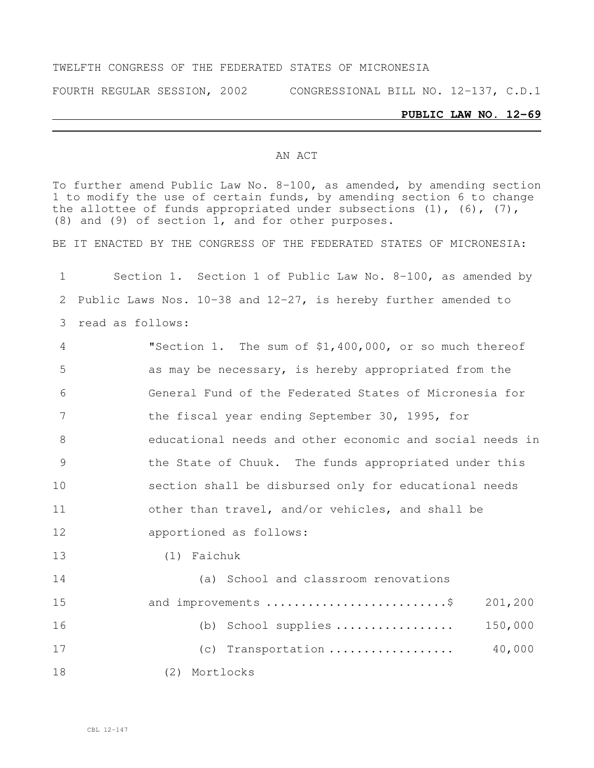#### TWELFTH CONGRESS OF THE FEDERATED STATES OF MICRONESIA

FOURTH REGULAR SESSION, 2002 CONGRESSIONAL BILL NO. 12-137, C.D.1

#### **PUBLIC LAW NO. 12-69**

#### AN ACT

To further amend Public Law No. 8-100, as amended, by amending section to modify the use of certain funds, by amending section 6 to change the allottee of funds appropriated under subsections  $(1)$ ,  $(6)$ ,  $(7)$ , (8) and (9) of section 1, and for other purposes.

BE IT ENACTED BY THE CONGRESS OF THE FEDERATED STATES OF MICRONESIA:

 Section 1. Section 1 of Public Law No. 8-100, as amended by Public Laws Nos. 10-38 and 12-27, is hereby further amended to read as follows: "Section 1. The sum of \$1,400,000, or so much thereof as may be necessary, is hereby appropriated from the General Fund of the Federated States of Micronesia for 7 the fiscal year ending September 30, 1995, for educational needs and other economic and social needs in the State of Chuuk. The funds appropriated under this section shall be disbursed only for educational needs other than travel, and/or vehicles, and shall be apportioned as follows: (1) Faichuk (a) School and classroom renovations 15 and improvements ..............................\$ 201,200 (b) School supplies ................. 150,000 (c) Transportation .................. 40,000 (2) Mortlocks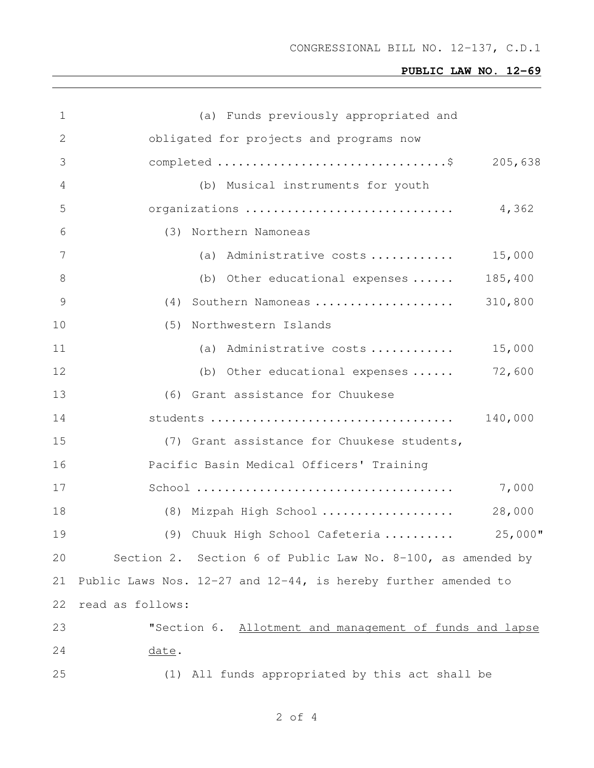| 1  | (a) Funds previously appropriated and                               |  |
|----|---------------------------------------------------------------------|--|
| 2  | obligated for projects and programs now                             |  |
| 3  | 205,638                                                             |  |
| 4  | (b) Musical instruments for youth                                   |  |
| 5  | organizations<br>4,362                                              |  |
| 6  | (3) Northern Namoneas                                               |  |
| 7  | (a) Administrative costs $15,000$                                   |  |
| 8  | 185,400<br>(b) Other educational expenses $\ldots$ .                |  |
| 9  | (4) Southern Namoneas<br>310,800                                    |  |
| 10 | (5) Northwestern Islands                                            |  |
| 11 | (a) Administrative costs<br>15,000                                  |  |
| 12 | 72,600<br>(b) Other educational expenses $\ldots$ .                 |  |
| 13 | (6) Grant assistance for Chuukese                                   |  |
| 14 | 140,000                                                             |  |
| 15 | (7) Grant assistance for Chuukese students,                         |  |
| 16 | Pacific Basin Medical Officers' Training                            |  |
| 17 | 7,000                                                               |  |
| 18 | 28,000<br>(8) Mizpah High School                                    |  |
| 19 | $25,000$ "<br>(9) Chuuk High School Cafeteria                       |  |
| 20 | Section 2. Section 6 of Public Law No. 8-100, as amended by         |  |
| 21 | Public Laws Nos. $12-27$ and $12-44$ , is hereby further amended to |  |
| 22 | read as follows:                                                    |  |
| 23 | "Section 6. Allotment and management of funds and lapse             |  |
| 24 | date.                                                               |  |
| 25 | (1) All funds appropriated by this act shall be                     |  |

of 4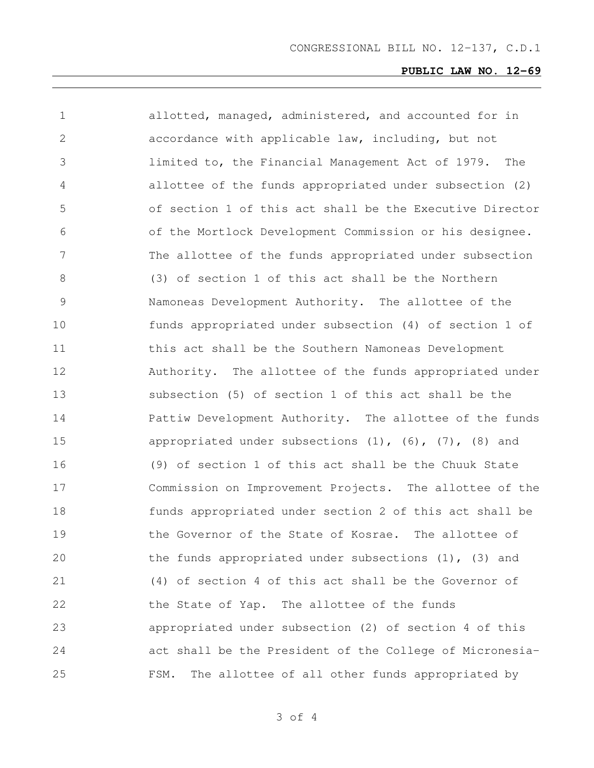| $\mathbf 1$   | allotted, managed, administered, and accounted for in            |
|---------------|------------------------------------------------------------------|
| 2             | accordance with applicable law, including, but not               |
| 3             | limited to, the Financial Management Act of 1979. The            |
| 4             | allottee of the funds appropriated under subsection (2)          |
| 5             | of section 1 of this act shall be the Executive Director         |
| 6             | of the Mortlock Development Commission or his designee.          |
| 7             | The allottee of the funds appropriated under subsection          |
| 8             | (3) of section 1 of this act shall be the Northern               |
| $\mathcal{G}$ | Namoneas Development Authority. The allottee of the              |
| 10            | funds appropriated under subsection (4) of section 1 of          |
| 11            | this act shall be the Southern Namoneas Development              |
| 12            | Authority. The allottee of the funds appropriated under          |
| 13            | subsection (5) of section 1 of this act shall be the             |
| 14            | Pattiw Development Authority. The allottee of the funds          |
| 15            | appropriated under subsections $(1)$ , $(6)$ , $(7)$ , $(8)$ and |
| 16            | (9) of section 1 of this act shall be the Chuuk State            |
| 17            | Commission on Improvement Projects. The allottee of the          |
| 18            | funds appropriated under section 2 of this act shall be          |
| 19            | the Governor of the State of Kosrae. The allottee of             |
| 20            | the funds appropriated under subsections (1), (3) and            |
| 21            | (4) of section 4 of this act shall be the Governor of            |
| 22            | the State of Yap. The allottee of the funds                      |
| 23            | appropriated under subsection (2) of section 4 of this           |
| 24            | act shall be the President of the College of Micronesia-         |
| 25            | The allottee of all other funds appropriated by<br>FSM.          |

of 4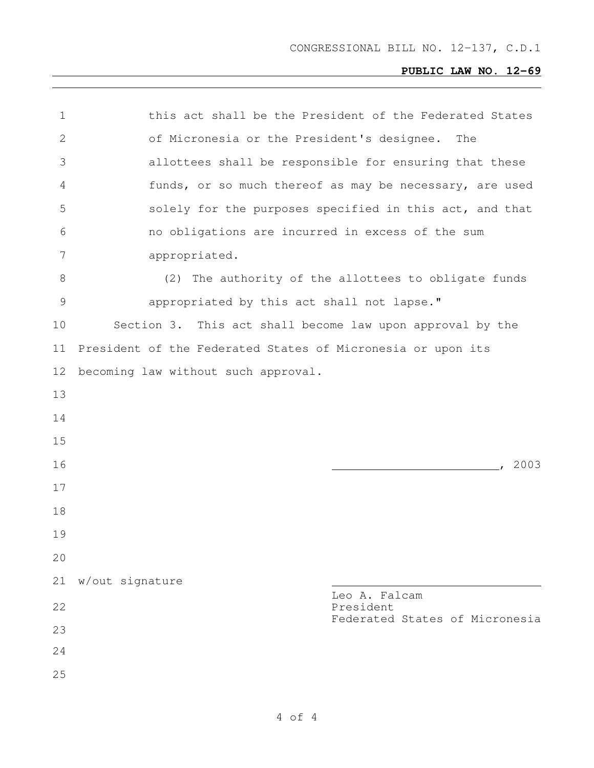| 1             | this act shall be the President of the Federated States     |
|---------------|-------------------------------------------------------------|
| $\mathbf{2}$  | of Micronesia or the President's designee.<br>The           |
| 3             | allottees shall be responsible for ensuring that these      |
| 4             | funds, or so much thereof as may be necessary, are used     |
| 5             | solely for the purposes specified in this act, and that     |
| 6             | no obligations are incurred in excess of the sum            |
| 7             | appropriated.                                               |
| 8             | (2) The authority of the allottees to obligate funds        |
| $\mathcal{G}$ | appropriated by this act shall not lapse."                  |
| 10            | Section 3. This act shall become law upon approval by the   |
| 11            | President of the Federated States of Micronesia or upon its |
| 12            | becoming law without such approval.                         |
| 13            |                                                             |
| 14            |                                                             |
| 15            |                                                             |
| 16            | , 2003                                                      |
| 17            |                                                             |
| 18            |                                                             |
| 19            |                                                             |
| 20            |                                                             |
| 21            | w/out signature                                             |
| 22            | Leo A. Falcam<br>President                                  |
| 23            | Federated States of Micronesia                              |
| 24            |                                                             |
| 25            |                                                             |